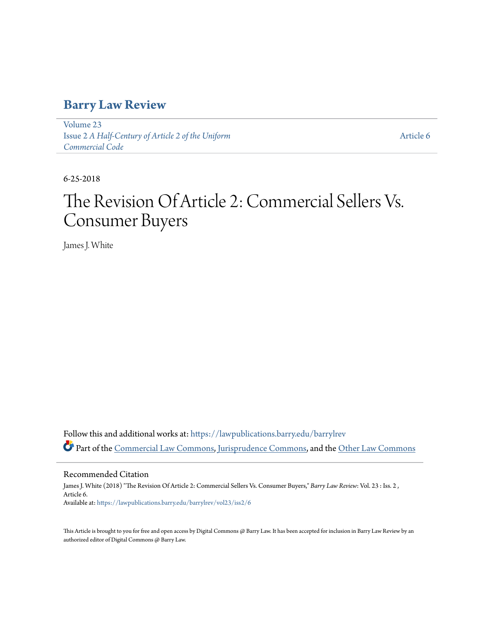# **[Barry Law Review](https://lawpublications.barry.edu/barrylrev?utm_source=lawpublications.barry.edu%2Fbarrylrev%2Fvol23%2Fiss2%2F6&utm_medium=PDF&utm_campaign=PDFCoverPages)**

[Volume 23](https://lawpublications.barry.edu/barrylrev/vol23?utm_source=lawpublications.barry.edu%2Fbarrylrev%2Fvol23%2Fiss2%2F6&utm_medium=PDF&utm_campaign=PDFCoverPages) Issue 2 *[A Half-Century of Article 2 of the Uniform](https://lawpublications.barry.edu/barrylrev/vol23/iss2?utm_source=lawpublications.barry.edu%2Fbarrylrev%2Fvol23%2Fiss2%2F6&utm_medium=PDF&utm_campaign=PDFCoverPages) [Commercial Code](https://lawpublications.barry.edu/barrylrev/vol23/iss2?utm_source=lawpublications.barry.edu%2Fbarrylrev%2Fvol23%2Fiss2%2F6&utm_medium=PDF&utm_campaign=PDFCoverPages)*

[Article 6](https://lawpublications.barry.edu/barrylrev/vol23/iss2/6?utm_source=lawpublications.barry.edu%2Fbarrylrev%2Fvol23%2Fiss2%2F6&utm_medium=PDF&utm_campaign=PDFCoverPages)

6-25-2018

# The Revision Of Article 2: Commercial Sellers Vs. Consumer Buyers

James J. White

Follow this and additional works at: [https://lawpublications.barry.edu/barrylrev](https://lawpublications.barry.edu/barrylrev?utm_source=lawpublications.barry.edu%2Fbarrylrev%2Fvol23%2Fiss2%2F6&utm_medium=PDF&utm_campaign=PDFCoverPages) Part of the [Commercial Law Commons](http://network.bepress.com/hgg/discipline/586?utm_source=lawpublications.barry.edu%2Fbarrylrev%2Fvol23%2Fiss2%2F6&utm_medium=PDF&utm_campaign=PDFCoverPages), [Jurisprudence Commons,](http://network.bepress.com/hgg/discipline/610?utm_source=lawpublications.barry.edu%2Fbarrylrev%2Fvol23%2Fiss2%2F6&utm_medium=PDF&utm_campaign=PDFCoverPages) and the [Other Law Commons](http://network.bepress.com/hgg/discipline/621?utm_source=lawpublications.barry.edu%2Fbarrylrev%2Fvol23%2Fiss2%2F6&utm_medium=PDF&utm_campaign=PDFCoverPages)

Recommended Citation

James J. White (2018) "The Revision Of Article 2: Commercial Sellers Vs. Consumer Buyers," *Barry Law Review*: Vol. 23 : Iss. 2 , Article 6. Available at: [https://lawpublications.barry.edu/barrylrev/vol23/iss2/6](https://lawpublications.barry.edu/barrylrev/vol23/iss2/6?utm_source=lawpublications.barry.edu%2Fbarrylrev%2Fvol23%2Fiss2%2F6&utm_medium=PDF&utm_campaign=PDFCoverPages)

This Article is brought to you for free and open access by Digital Commons @ Barry Law. It has been accepted for inclusion in Barry Law Review by an authorized editor of Digital Commons @ Barry Law.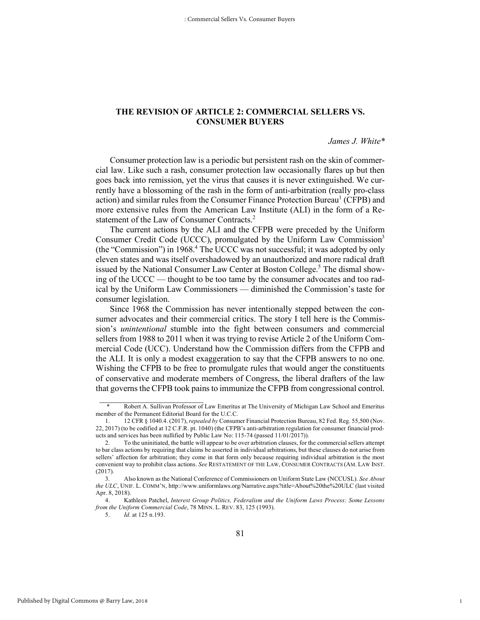# **THE REVISION OF ARTICLE 2: COMMERCIAL SELLERS VS. CONSUMER BUYERS**

#### *James J. White\**

1

Consumer protection law is a periodic but persistent rash on the skin of commercial law. Like such a rash, consumer protection law occasionally flares up but then goes back into remission, yet the virus that causes it is never extinguished. We currently have a blossoming of the rash in the form of anti-arbitration (really pro-class action) and similar rules from the Consumer Finance Protection Bureau<sup>1</sup> (CFPB) and more extensive rules from the American Law Institute (ALI) in the form of a Restatement of the Law of Consumer Contracts.<sup>2</sup>

The current actions by the ALI and the CFPB were preceded by the Uniform Consumer Credit Code (UCCC), promulgated by the Uniform Law Commission<sup>3</sup> (the "Commission") in 1968.<sup>4</sup> The UCCC was not successful; it was adopted by only eleven states and was itself overshadowed by an unauthorized and more radical draft issued by the National Consumer Law Center at Boston College.<sup>5</sup> The dismal showing of the UCCC — thought to be too tame by the consumer advocates and too radical by the Uniform Law Commissioners — diminished the Commission's taste for consumer legislation.

Since 1968 the Commission has never intentionally stepped between the consumer advocates and their commercial critics. The story I tell here is the Commission's *unintentional* stumble into the fight between consumers and commercial sellers from 1988 to 2011 when it was trying to revise Article 2 of the Uniform Commercial Code (UCC). Understand how the Commission differs from the CFPB and the ALI. It is only a modest exaggeration to say that the CFPB answers to no one. Wishing the CFPB to be free to promulgate rules that would anger the constituents of conservative and moderate members of Congress, the liberal drafters of the law that governs the CFPB took pains to immunize the CFPB from congressional control.

<sup>\*</sup> Robert A. Sullivan Professor of Law Emeritus at The University of Michigan Law School and Emeritus member of the Permanent Editorial Board for the U.C.C.

<sup>1.</sup> 12 CFR § 1040.4. (2017), *repealed by* Consumer Financial Protection Bureau, 82 Fed. Reg. 55,500 (Nov. 22, 2017) (to be codified at 12 C.F.R. pt. 1040) (the CFPB's anti-arbitration regulation for consumer financial products and services has been nullified by Public Law No: 115-74 (passed 11/01/2017)).

<sup>2.</sup> To the uninitiated, the battle will appear to be over arbitration clauses, for the commercial sellers attempt to bar class actions by requiring that claims be asserted in individual arbitrations, but these clauses do not arise from sellers' affection for arbitration; they come in that form only because requiring individual arbitration is the most convenient way to prohibit class actions. *See* RESTATEMENT OF THE LAW, CONSUMER CONTRACTS (AM. LAW INST. (2017).

<sup>3.</sup> Also known as the National Conference of Commissioners on Uniform State Law (NCCUSL). *See About the ULC*, UNIF. L. COMM'N, http://www.uniformlaws.org/Narrative.aspx?title=About%20the%20ULC (last visited Apr. 8, 2018).

<sup>4.</sup> Kathleen Patchel, *Interest Group Politics, Federalism and the Uniform Laws Process: Some Lessons from the Uniform Commercial Code*, 78 MINN. L. REV. 83, 125 (1993).

<sup>5.</sup> *Id.* at 125 n.193.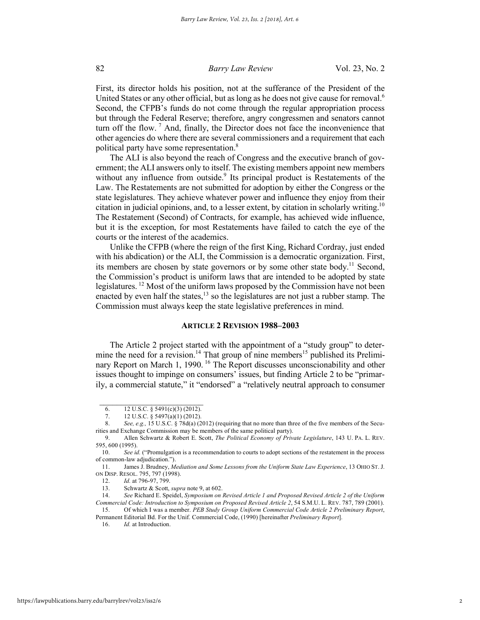First, its director holds his position, not at the sufferance of the President of the United States or any other official, but as long as he does not give cause for removal.<sup>6</sup> Second, the CFPB's funds do not come through the regular appropriation process but through the Federal Reserve; therefore, angry congressmen and senators cannot turn off the flow. <sup>7</sup> And, finally, the Director does not face the inconvenience that other agencies do where there are several commissioners and a requirement that each political party have some representation.<sup>8</sup>

The ALI is also beyond the reach of Congress and the executive branch of government; the ALI answers only to itself. The existing members appoint new members without any influence from outside.<sup>9</sup> Its principal product is Restatements of the Law. The Restatements are not submitted for adoption by either the Congress or the state legislatures. They achieve whatever power and influence they enjoy from their citation in judicial opinions, and, to a lesser extent, by citation in scholarly writing.<sup>10</sup> The Restatement (Second) of Contracts, for example, has achieved wide influence, but it is the exception, for most Restatements have failed to catch the eye of the courts or the interest of the academics.

Unlike the CFPB (where the reign of the first King, Richard Cordray, just ended with his abdication) or the ALI, the Commission is a democratic organization. First, its members are chosen by state governors or by some other state body.<sup>11</sup> Second, the Commission's product is uniform laws that are intended to be adopted by state legislatures. <sup>12</sup> Most of the uniform laws proposed by the Commission have not been enacted by even half the states, $13$  so the legislatures are not just a rubber stamp. The Commission must always keep the state legislative preferences in mind.

#### **ARTICLE 2 REVISION 1988–2003**

The Article 2 project started with the appointment of a "study group" to determine the need for a revision.<sup>14</sup> That group of nine members<sup>15</sup> published its Preliminary Report on March 1, 1990.<sup>16</sup> The Report discusses unconscionability and other issues thought to impinge on consumers' issues, but finding Article 2 to be "primarily, a commercial statute," it "endorsed" a "relatively neutral approach to consumer

 $\frac{1}{2}$  ,  $\frac{1}{2}$  ,  $\frac{1}{2}$  ,  $\frac{1}{2}$  ,  $\frac{1}{2}$  ,  $\frac{1}{2}$  ,  $\frac{1}{2}$  ,  $\frac{1}{2}$  ,  $\frac{1}{2}$  ,  $\frac{1}{2}$  ,  $\frac{1}{2}$  ,  $\frac{1}{2}$  ,  $\frac{1}{2}$  ,  $\frac{1}{2}$  ,  $\frac{1}{2}$  ,  $\frac{1}{2}$  ,  $\frac{1}{2}$  ,  $\frac{1}{2}$  ,  $\frac{1$ 6. 12 U.S.C.  $\S$  5491(c)(3) (2012).<br>7. 12 U.S.C.  $\S$  5497(a)(1) (2012).

<sup>12</sup> U.S.C. § 5497(a)(1) (2012).

<sup>8.</sup> *See, e.g.,* 15 U.S.C. § 78d(a) (2012) (requiring that no more than three of the five members of the Securities and Exchange Commission may be members of the same political party).

<sup>9.</sup> Allen Schwartz & Robert E. Scott, *The Political Economy of Private Legislature*, 143 U. PA. L. REV. 595, 600 (1995).

<sup>10.</sup> *See id.* ("Promulgation is a recommendation to courts to adopt sections of the restatement in the process of common-law adjudication.").

<sup>11.</sup> James J. Brudney, *Mediation and Some Lessons from the Uniform State Law Experience*, 13 OHIO ST. J. ON DISP. RESOL. 795, 797 (1998).

<sup>12.</sup> *Id.* at 796-97, 799.

<sup>13.</sup> Schwartz & Scott, *supra* note 9, at 602.

<sup>14.</sup> *See* Richard E. Speidel, *Symposium on Revised Article 1 and Proposed Revised Article 2 of the Uniform Commercial Code: Introduction to Symposium on Proposed Revised Article 2*, 54 S.M.U. L. REV. 787, 789 (2001). 15. Of which I was a member. *PEB Study Group Uniform Commercial Code Article 2 Preliminary Report*,

Permanent Editorial Bd. For the Unif. Commercial Code, (1990) [hereinafter *Preliminary Report*].

<sup>16.</sup> *Id.* at Introduction.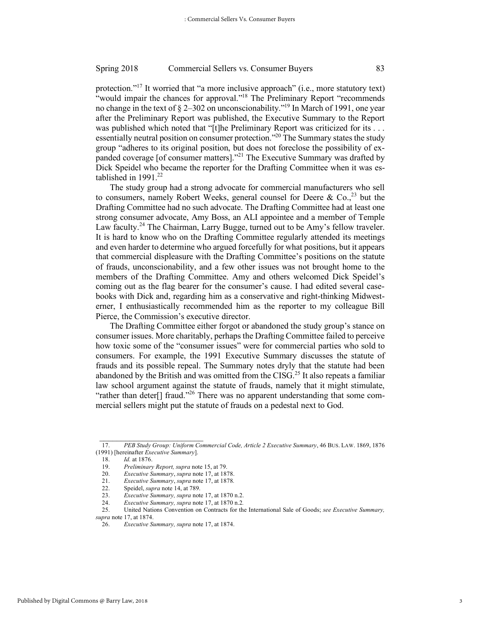protection."17 It worried that "a more inclusive approach" (i.e., more statutory text) "would impair the chances for approval."<sup>18</sup> The Preliminary Report "recommends" no change in the text of § 2–302 on unconscionability."19 In March of 1991, one year after the Preliminary Report was published, the Executive Summary to the Report was published which noted that "[t]he Preliminary Report was criticized for its . . . essentially neutral position on consumer protection."<sup>20</sup> The Summary states the study group "adheres to its original position, but does not foreclose the possibility of expanded coverage [of consumer matters]."<sup>21</sup> The Executive Summary was drafted by Dick Speidel who became the reporter for the Drafting Committee when it was established in 1991.<sup>22</sup>

The study group had a strong advocate for commercial manufacturers who sell to consumers, namely Robert Weeks, general counsel for Deere & Co., $^{23}$  but the Drafting Committee had no such advocate. The Drafting Committee had at least one strong consumer advocate, Amy Boss, an ALI appointee and a member of Temple Law faculty.<sup>24</sup> The Chairman, Larry Bugge, turned out to be Amy's fellow traveler. It is hard to know who on the Drafting Committee regularly attended its meetings and even harder to determine who argued forcefully for what positions, but it appears that commercial displeasure with the Drafting Committee's positions on the statute of frauds, unconscionability, and a few other issues was not brought home to the members of the Drafting Committee. Amy and others welcomed Dick Speidel's coming out as the flag bearer for the consumer's cause. I had edited several casebooks with Dick and, regarding him as a conservative and right-thinking Midwesterner, I enthusiastically recommended him as the reporter to my colleague Bill Pierce, the Commission's executive director.

The Drafting Committee either forgot or abandoned the study group's stance on consumer issues. More charitably, perhaps the Drafting Committee failed to perceive how toxic some of the "consumer issues" were for commercial parties who sold to consumers. For example, the 1991 Executive Summary discusses the statute of frauds and its possible repeal. The Summary notes dryly that the statute had been abandoned by the British and was omitted from the CISG.<sup>25</sup> It also repeats a familiar law school argument against the statute of frauds, namely that it might stimulate, "rather than deter[] fraud."<sup>26</sup> There was no apparent understanding that some commercial sellers might put the statute of frauds on a pedestal next to God.

 $\frac{1}{2}$  ,  $\frac{1}{2}$  ,  $\frac{1}{2}$  ,  $\frac{1}{2}$  ,  $\frac{1}{2}$  ,  $\frac{1}{2}$  ,  $\frac{1}{2}$  ,  $\frac{1}{2}$  ,  $\frac{1}{2}$  ,  $\frac{1}{2}$  ,  $\frac{1}{2}$  ,  $\frac{1}{2}$  ,  $\frac{1}{2}$  ,  $\frac{1}{2}$  ,  $\frac{1}{2}$  ,  $\frac{1}{2}$  ,  $\frac{1}{2}$  ,  $\frac{1}{2}$  ,  $\frac{1$ 

<sup>17.</sup> *PEB Study Group: Uniform Commercial Code, Article 2 Executive Summary*, 46 BUS. LAW. 1869, 1876 (1991) [hereinafter *Executive Summary*].

<sup>18.</sup> *Id.* at 1876.

<sup>19.</sup> *Preliminary Report, supra* note 15, at 79.

<sup>20.</sup> *Executive Summary*, *supra* note 17, at 1878.

<sup>21.</sup> *Executive Summary*, *supra* note 17, at 1878*.*

<sup>22.</sup> Speidel, *supra* note 14, at 789.

<sup>23.</sup> *Executive Summary, supra* note 17, at 1870 n.2.

<sup>24.</sup> *Executive Summary, supra* note 17, at 1870 n.2*.*

<sup>25.</sup> United Nations Convention on Contracts for the International Sale of Goods; *see Executive Summary,* 

*supra* note 17, at 1874.

<sup>26.</sup> *Executive Summary, supra* note 17, at 1874.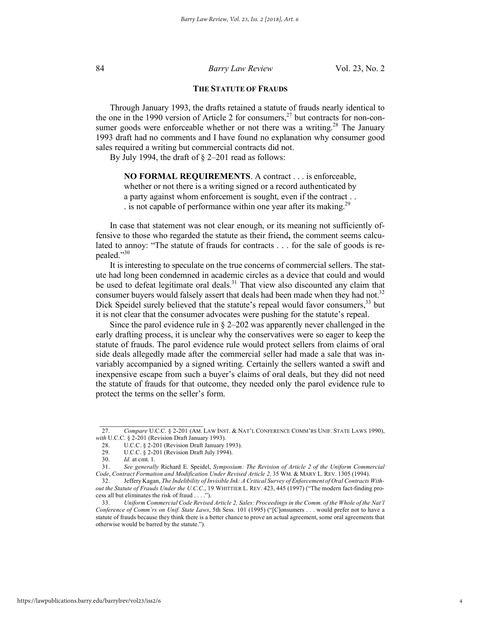#### **THE STATUTE OF FRAUDS**

Through January 1993, the drafts retained a statute of frauds nearly identical to the one in the 1990 version of Article 2 for consumers, $27$  but contracts for non-consumer goods were enforceable whether or not there was a writing.<sup>28</sup> The January 1993 draft had no comments and I have found no explanation why consumer good sales required a writing but commercial contracts did not.

By July 1994, the draft of § 2–201 read as follows:

**NO FORMAL REQUIREMENTS**. A contract . . . is enforceable, whether or not there is a writing signed or a record authenticated by a party against whom enforcement is sought, even if the contract . . . is not capable of performance within one year after its making.<sup>29</sup>

In case that statement was not clear enough, or its meaning not sufficiently offensive to those who regarded the statute as their friend**,** the comment seems calculated to annoy: "The statute of frauds for contracts . . . for the sale of goods is repealed."30

It is interesting to speculate on the true concerns of commercial sellers. The statute had long been condemned in academic circles as a device that could and would be used to defeat legitimate oral deals.<sup>31</sup> That view also discounted any claim that consumer buyers would falsely assert that deals had been made when they had not.<sup>32</sup> Dick Speidel surely believed that the statute's repeal would favor consumers,<sup>33</sup> but it is not clear that the consumer advocates were pushing for the statute's repeal.

Since the parol evidence rule in  $\S$  2–202 was apparently never challenged in the early drafting process, it is unclear why the conservatives were so eager to keep the statute of frauds. The parol evidence rule would protect sellers from claims of oral side deals allegedly made after the commercial seller had made a sale that was invariably accompanied by a signed writing. Certainly the sellers wanted a swift and inexpensive escape from such a buyer's claims of oral deals, but they did not need the statute of frauds for that outcome, they needed only the parol evidence rule to protect the terms on the seller's form.

<sup>27.</sup> *Compare* U.C.C. § 2-201 (AM. LAW INST. & NAT'L CONFERENCE COMM'RS UNIF. STATE LAWS 1990), *with* U.C.C. § 2-201 (Revision Draft January 1993).

<sup>28.</sup> U.C.C. § 2-201 (Revision Draft January 1993).

<sup>29.</sup> U.C.C. § 2-201 (Revision Draft July 1994).

<sup>30.</sup> *Id.* at cmt. 1.

<sup>31.</sup> *See generally* Richard E. Speidel, *Symposium: The Revision of Article 2 of the Uniform Commercial Code*, *Contract Formation and Modification Under Revised Article 2,* 35 WM. & MARY L. REV. 1305 (1994).

<sup>32.</sup> Jeffery Kagan, *The Indelibility of Invisible Ink: A Critical Survey of Enforcement of Oral Contracts Without the Statute of Frauds Under the U.C.C.*, 19 WHITTIER L. REV. 423, 445 (1997) ("The modern fact-finding process all but eliminates the risk of fraud . . . .").

<sup>33.</sup> *Uniform Commercial Code Revised Article 2, Sales: Proceedings in the Comm. of the Whole of the Nat'l Conference of Comm'rs on Unif. State Laws*, 5th Sess. 101 (1995) ("[C]onsumers . . . would prefer not to have a statute of frauds because they think there is a better chance to prove an actual agreement, some oral agreements that otherwise would be barred by the statute.").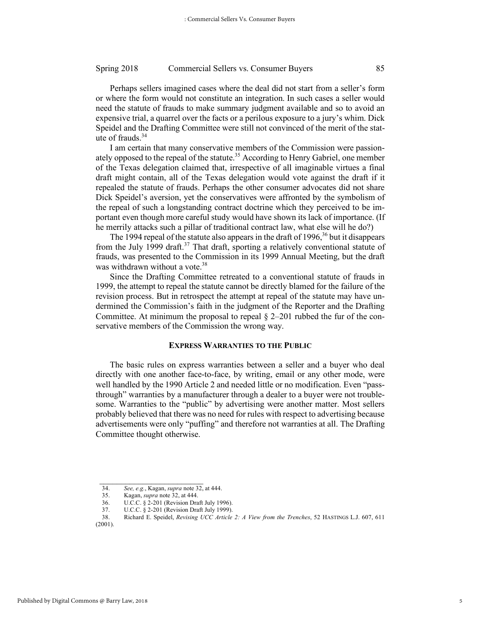Perhaps sellers imagined cases where the deal did not start from a seller's form or where the form would not constitute an integration. In such cases a seller would need the statute of frauds to make summary judgment available and so to avoid an expensive trial, a quarrel over the facts or a perilous exposure to a jury's whim. Dick Speidel and the Drafting Committee were still not convinced of the merit of the statute of frauds.<sup>34</sup>

I am certain that many conservative members of the Commission were passionately opposed to the repeal of the statute.<sup>35</sup> According to Henry Gabriel, one member of the Texas delegation claimed that, irrespective of all imaginable virtues a final draft might contain, all of the Texas delegation would vote against the draft if it repealed the statute of frauds. Perhaps the other consumer advocates did not share Dick Speidel's aversion, yet the conservatives were affronted by the symbolism of the repeal of such a longstanding contract doctrine which they perceived to be important even though more careful study would have shown its lack of importance. (If he merrily attacks such a pillar of traditional contract law, what else will he do?)

The 1994 repeal of the statute also appears in the draft of 1996,  $36$  but it disappears from the July 1999 draft.<sup>37</sup> That draft, sporting a relatively conventional statute of frauds, was presented to the Commission in its 1999 Annual Meeting, but the draft was withdrawn without a vote.<sup>38</sup>

Since the Drafting Committee retreated to a conventional statute of frauds in 1999, the attempt to repeal the statute cannot be directly blamed for the failure of the revision process. But in retrospect the attempt at repeal of the statute may have undermined the Commission's faith in the judgment of the Reporter and the Drafting Committee. At minimum the proposal to repeal  $\S$  2–201 rubbed the fur of the conservative members of the Commission the wrong way.

#### **EXPRESS WARRANTIES TO THE PUBLIC**

The basic rules on express warranties between a seller and a buyer who deal directly with one another face-to-face, by writing, email or any other mode, were well handled by the 1990 Article 2 and needed little or no modification. Even "passthrough" warranties by a manufacturer through a dealer to a buyer were not troublesome. Warranties to the "public" by advertising were another matter. Most sellers probably believed that there was no need for rules with respect to advertising because advertisements were only "puffing" and therefore not warranties at all. The Drafting Committee thought otherwise.

 $\frac{1}{2}$  ,  $\frac{1}{2}$  ,  $\frac{1}{2}$  ,  $\frac{1}{2}$  ,  $\frac{1}{2}$  ,  $\frac{1}{2}$  ,  $\frac{1}{2}$  ,  $\frac{1}{2}$  ,  $\frac{1}{2}$  ,  $\frac{1}{2}$  ,  $\frac{1}{2}$  ,  $\frac{1}{2}$  ,  $\frac{1}{2}$  ,  $\frac{1}{2}$  ,  $\frac{1}{2}$  ,  $\frac{1}{2}$  ,  $\frac{1}{2}$  ,  $\frac{1}{2}$  ,  $\frac{1$ 

<sup>34.</sup> *See, e.g.*, Kagan, *supra* note 32, at 444.

<sup>35.</sup> Kagan, *supra* note 32, at 444.

<sup>36.</sup> U.C.C. § 2-201 (Revision Draft July 1996).

<sup>37.</sup> U.C.C. § 2-201 (Revision Draft July 1999).<br>38. Richard E. Speidel, *Revising UCC Article* 

<sup>38.</sup> Richard E. Speidel, *Revising UCC Article 2: A View from the Trenches*, 52 HASTINGS L.J. 607, 611 (2001).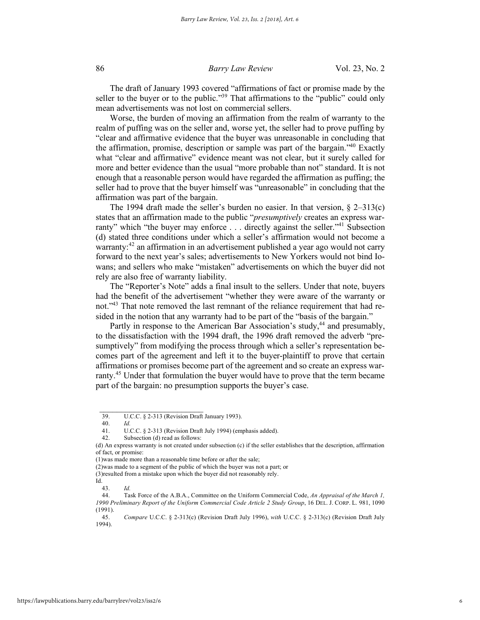The draft of January 1993 covered "affirmations of fact or promise made by the seller to the buyer or to the public."<sup>39</sup> That affirmations to the "public" could only mean advertisements was not lost on commercial sellers.

Worse, the burden of moving an affirmation from the realm of warranty to the realm of puffing was on the seller and, worse yet, the seller had to prove puffing by "clear and affirmative evidence that the buyer was unreasonable in concluding that the affirmation, promise, description or sample was part of the bargain."40 Exactly what "clear and affirmative" evidence meant was not clear, but it surely called for more and better evidence than the usual "more probable than not" standard. It is not enough that a reasonable person would have regarded the affirmation as puffing; the seller had to prove that the buyer himself was "unreasonable" in concluding that the affirmation was part of the bargain.

The 1994 draft made the seller's burden no easier. In that version,  $\S$  2–313(c) states that an affirmation made to the public "*presumptively* creates an express warranty" which "the buyer may enforce . . . directly against the seller."<sup>41</sup> Subsection (d) stated three conditions under which a seller's affirmation would not become a warranty:<sup>42</sup> an affirmation in an advertisement published a year ago would not carry forward to the next year's sales; advertisements to New Yorkers would not bind Iowans; and sellers who make "mistaken" advertisements on which the buyer did not rely are also free of warranty liability.

The "Reporter's Note" adds a final insult to the sellers. Under that note, buyers had the benefit of the advertisement "whether they were aware of the warranty or not."<sup>43</sup> That note removed the last remnant of the reliance requirement that had resided in the notion that any warranty had to be part of the "basis of the bargain."

Partly in response to the American Bar Association's study,<sup>44</sup> and presumably, to the dissatisfaction with the 1994 draft, the 1996 draft removed the adverb "presumptively" from modifying the process through which a seller's representation becomes part of the agreement and left it to the buyer-plaintiff to prove that certain affirmations or promises become part of the agreement and so create an express warranty.<sup>45</sup> Under that formulation the buyer would have to prove that the term became part of the bargain: no presumption supports the buyer's case.

<sup>39.</sup> U.C.C. § 2-313 (Revision Draft January 1993).

<sup>40.</sup> *Id.*

<sup>41.</sup> U.C.C. § 2-313 (Revision Draft July 1994) (emphasis added).

Subsection (d) read as follows:

<sup>(</sup>d) An express warranty is not created under subsection (c) if the seller establishes that the description, affirmation of fact, or promise:

<sup>(1)</sup>was made more than a reasonable time before or after the sale;

<sup>(2)</sup>was made to a segment of the public of which the buyer was not a part; or

<sup>(3)</sup>resulted from a mistake upon which the buyer did not reasonably rely. Id.

<sup>43.</sup> *Id.*

<sup>44.</sup> Task Force of the A.B.A., Committee on the Uniform Commercial Code, *An Appraisal of the March 1, 1990 Preliminary Report of the Uniform Commercial Code Article 2 Study Group*, 16 DEL. J. CORP. L. 981, 1090

 $(1991).$ <br>45. 45. *Compare* U.C.C. § 2-313(c) (Revision Draft July 1996), *with* U.C.C. § 2-313(c) (Revision Draft July 1994).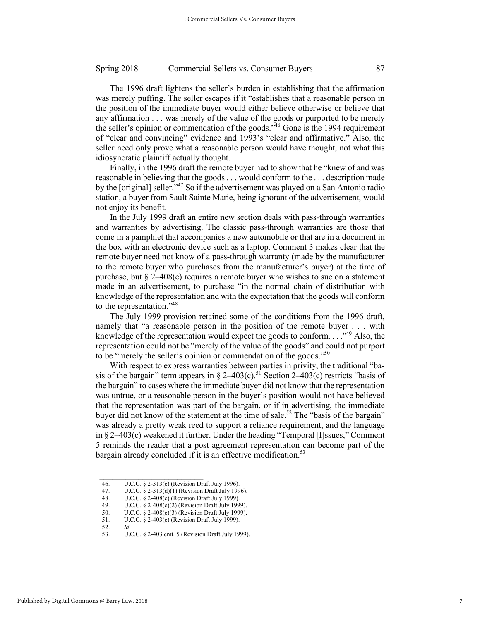The 1996 draft lightens the seller's burden in establishing that the affirmation was merely puffing. The seller escapes if it "establishes that a reasonable person in the position of the immediate buyer would either believe otherwise or believe that any affirmation . . . was merely of the value of the goods or purported to be merely the seller's opinion or commendation of the goods." <sup>46</sup> Gone is the 1994 requirement of "clear and convincing" evidence and 1993's "clear and affirmative." Also, the seller need only prove what a reasonable person would have thought, not what this idiosyncratic plaintiff actually thought.

Finally, in the 1996 draft the remote buyer had to show that he "knew of and was reasonable in believing that the goods . . . would conform to the . . . description made by the [original] seller."<sup>47</sup> So if the advertisement was played on a San Antonio radio station, a buyer from Sault Sainte Marie, being ignorant of the advertisement, would not enjoy its benefit.

In the July 1999 draft an entire new section deals with pass-through warranties and warranties by advertising. The classic pass-through warranties are those that come in a pamphlet that accompanies a new automobile or that are in a document in the box with an electronic device such as a laptop. Comment 3 makes clear that the remote buyer need not know of a pass-through warranty (made by the manufacturer to the remote buyer who purchases from the manufacturer's buyer) at the time of purchase, but  $\delta$  2–408(c) requires a remote buyer who wishes to sue on a statement made in an advertisement, to purchase "in the normal chain of distribution with knowledge of the representation and with the expectation that the goods will conform to the representation."48

The July 1999 provision retained some of the conditions from the 1996 draft, namely that "a reasonable person in the position of the remote buyer . . . with knowledge of the representation would expect the goods to conform.  $\ldots$ <sup>49</sup> Also, the representation could not be "merely of the value of the goods" and could not purport to be "merely the seller's opinion or commendation of the goods."<sup>50</sup>

With respect to express warranties between parties in privity, the traditional "basis of the bargain" term appears in § 2–403(c).<sup>51</sup> Section 2–403(c) restricts "basis of the bargain" to cases where the immediate buyer did not know that the representation was untrue, or a reasonable person in the buyer's position would not have believed that the representation was part of the bargain, or if in advertising, the immediate buyer did not know of the statement at the time of sale.<sup>52</sup> The "basis of the bargain" was already a pretty weak reed to support a reliance requirement, and the language in § 2–403(c) weakened it further. Under the heading "Temporal [I]ssues," Comment 5 reminds the reader that a post agreement representation can become part of the bargain already concluded if it is an effective modification.<sup>53</sup>

48. U.C.C. § 2-408(c) (Revision Draft July 1999).<br>49. U.C.C. § 2-408(c)(2) (Revision Draft July 199

<sup>46.</sup> U.C.C. § 2-313(c) (Revision Draft July 1996).

<sup>47.</sup> U.C.C.  $\frac{6}{5}$  2-313(d)(1) (Revision Draft July 1996).

U.C.C. § 2-408(c)(2) (Revision Draft July 1999).

<sup>50.</sup> U.C.C. § 2-408(c)(3) (Revision Draft July 1999).

<sup>51.</sup> U.C.C. § 2-403(c) (Revision Draft July 1999).

<sup>52.</sup> *Id.*

U.C.C. § 2-403 cmt. 5 (Revision Draft July 1999).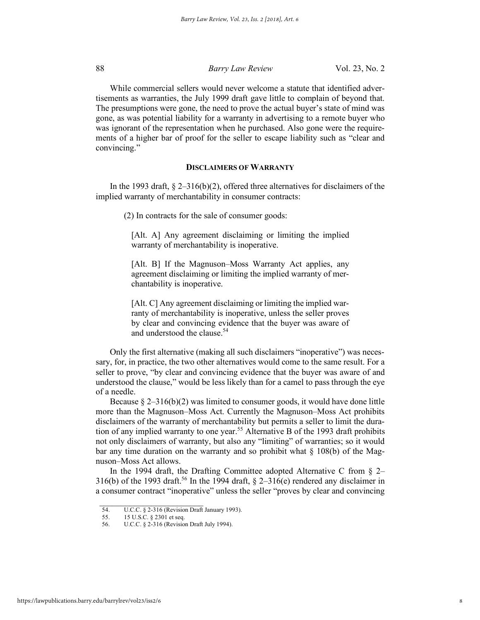While commercial sellers would never welcome a statute that identified advertisements as warranties, the July 1999 draft gave little to complain of beyond that. The presumptions were gone, the need to prove the actual buyer's state of mind was gone, as was potential liability for a warranty in advertising to a remote buyer who was ignorant of the representation when he purchased. Also gone were the requirements of a higher bar of proof for the seller to escape liability such as "clear and convincing."

# **DISCLAIMERS OF WARRANTY**

In the 1993 draft, § 2–316(b)(2), offered three alternatives for disclaimers of the implied warranty of merchantability in consumer contracts:

(2) In contracts for the sale of consumer goods:

[Alt. A] Any agreement disclaiming or limiting the implied warranty of merchantability is inoperative.

[Alt. B] If the Magnuson–Moss Warranty Act applies, any agreement disclaiming or limiting the implied warranty of merchantability is inoperative.

[Alt. C] Any agreement disclaiming or limiting the implied warranty of merchantability is inoperative, unless the seller proves by clear and convincing evidence that the buyer was aware of and understood the clause.54

Only the first alternative (making all such disclaimers "inoperative") was necessary, for, in practice, the two other alternatives would come to the same result. For a seller to prove, "by clear and convincing evidence that the buyer was aware of and understood the clause," would be less likely than for a camel to pass through the eye of a needle.

Because  $\S 2-316(b)(2)$  was limited to consumer goods, it would have done little more than the Magnuson–Moss Act. Currently the Magnuson–Moss Act prohibits disclaimers of the warranty of merchantability but permits a seller to limit the duration of any implied warranty to one year.<sup>55</sup> Alternative B of the 1993 draft prohibits not only disclaimers of warranty, but also any "limiting" of warranties; so it would bar any time duration on the warranty and so prohibit what  $\S$  108(b) of the Magnuson–Moss Act allows.

In the 1994 draft, the Drafting Committee adopted Alternative C from  $\S$  2– 316(b) of the 1993 draft.<sup>56</sup> In the 1994 draft,  $\S$  2–316(e) rendered any disclaimer in a consumer contract "inoperative" unless the seller "proves by clear and convincing

<sup>54.</sup> U.C.C. § 2-316 (Revision Draft January 1993).<br>55. 15 U.S.C. § 2301 et seq.

<sup>55. 15</sup> U.S.C. § 2301 et seq.<br>56 U.C.C. § 2-316 (Revision

U.C.C. § 2-316 (Revision Draft July 1994).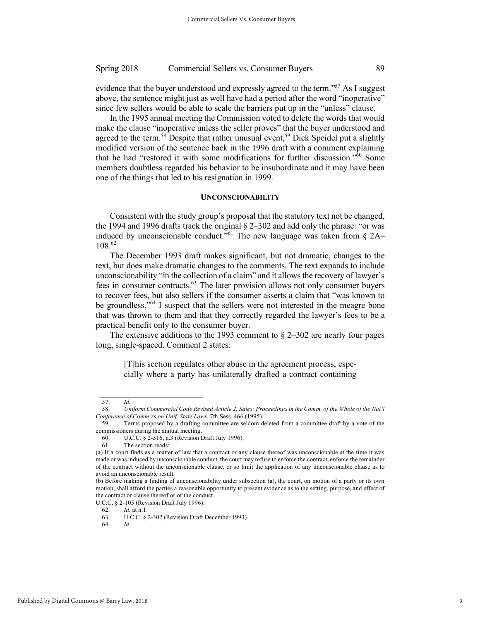evidence that the buyer understood and expressly agreed to the term."<sup>57</sup> As I suggest above, the sentence might just as well have had a period after the word "inoperative" since few sellers would be able to scale the barriers put up in the "unless" clause.

In the 1995 annual meeting the Commission voted to delete the words that would make the clause "inoperative unless the seller proves" that the buyer understood and agreed to the term.<sup>58</sup> Despite that rather unusual event,<sup>59</sup> Dick Speidel put a slightly modified version of the sentence back in the 1996 draft with a comment explaining that he had "restored it with some modifications for further discussion."60 Some members doubtless regarded his behavior to be insubordinate and it may have been one of the things that led to his resignation in 1999.

#### **UNCONSCIONABILITY**

Consistent with the study group's proposal that the statutory text not be changed, the 1994 and 1996 drafts track the original § 2–302 and add only the phrase: "or was induced by unconscionable conduct.<sup>761</sup> The new language was taken from  $\S$  2A– 108.62

The December 1993 draft makes significant, but not dramatic, changes to the text, but does make dramatic changes to the comments. The text expands to include unconscionability "in the collection of a claim" and it allows the recovery of lawyer's fees in consumer contracts.<sup>63</sup> The later provision allows not only consumer buyers to recover fees, but also sellers if the consumer asserts a claim that "was known to be groundless."<sup>64</sup> I suspect that the sellers were not interested in the meagre bone that was thrown to them and that they correctly regarded the lawyer's fees to be a practical benefit only to the consumer buyer.

The extensive additions to the 1993 comment to  $\S$  2–302 are nearly four pages long, single-spaced. Comment 2 states:

[T]his section regulates other abuse in the agreement process, especially where a party has unilaterally drafted a contract containing

U.C.C. § 2-105 (Revision Draft July 1996).

<sup>57.</sup> *Id.*

<sup>58.</sup> *Uniform Commercial Code Revised Article 2, Sales: Proceedings in the Comm. of the Whole of the Nat'l Conference of Comm'rs on Unif. State Laws*, 7th Sess. 466 (1995).

<sup>59.</sup> Terms proposed by a drafting committee are seldom deleted from a committee draft by a vote of the commissioners during the annual meeting.

<sup>60.</sup> U.C.C. § 2-316, n.3 (Revision Draft July 1996).

<sup>61.</sup> The section reads:

<sup>(</sup>a) If a court finds as a matter of law that a contract or any clause thereof was unconscionable at the time it was made or was induced by unconscionable conduct, the court may refuse to enforce the contract, enforce the remainder of the contract without the unconscionable clause, or so limit the application of any unconscionable clause as to avoid an unconscionable result.

<sup>(</sup>b) Before making a finding of unconscionability under subsection (a), the court, on motion of a party or its own motion, shall afford the parties a reasonable opportunity to present evidence as to the setting, purpose, and effect of the contract or clause thereof or of the conduct.

<sup>62.</sup> *Id.* at n.1.

U.C.C. § 2-302 (Revision Draft December 1993).

<sup>64.</sup> *Id.*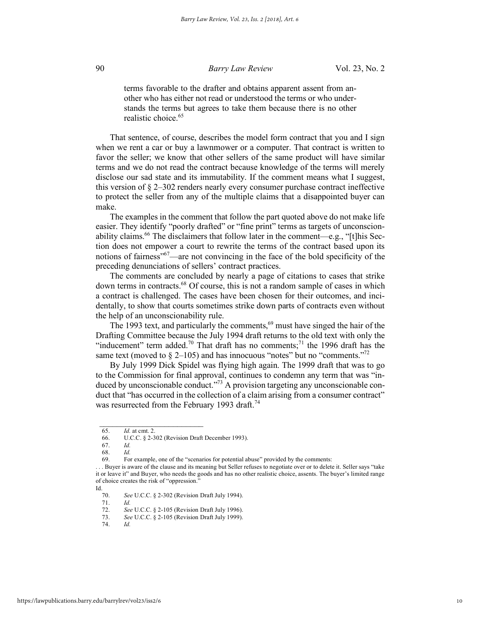terms favorable to the drafter and obtains apparent assent from another who has either not read or understood the terms or who understands the terms but agrees to take them because there is no other realistic choice <sup>65</sup>

That sentence, of course, describes the model form contract that you and I sign when we rent a car or buy a lawnmower or a computer. That contract is written to favor the seller; we know that other sellers of the same product will have similar terms and we do not read the contract because knowledge of the terms will merely disclose our sad state and its immutability. If the comment means what I suggest, this version of  $\S 2-302$  renders nearly every consumer purchase contract ineffective to protect the seller from any of the multiple claims that a disappointed buyer can make.

The examples in the comment that follow the part quoted above do not make life easier. They identify "poorly drafted" or "fine print" terms as targets of unconscionability claims.<sup>66</sup> The disclaimers that follow later in the comment—e.g., "[t]his Section does not empower a court to rewrite the terms of the contract based upon its notions of fairness<sup>"67</sup>—are not convincing in the face of the bold specificity of the preceding denunciations of sellers' contract practices.

The comments are concluded by nearly a page of citations to cases that strike down terms in contracts.<sup>68</sup> Of course, this is not a random sample of cases in which a contract is challenged. The cases have been chosen for their outcomes, and incidentally, to show that courts sometimes strike down parts of contracts even without the help of an unconscionability rule.

The 1993 text, and particularly the comments,<sup>69</sup> must have singed the hair of the Drafting Committee because the July 1994 draft returns to the old text with only the "inducement" term added.<sup>70</sup> That draft has no comments:<sup>71</sup> the 1996 draft has the same text (moved to  $\S$  2–105) and has innocuous "notes" but no "comments."<sup>72</sup>

By July 1999 Dick Spidel was flying high again. The 1999 draft that was to go to the Commission for final approval, continues to condemn any term that was "induced by unconscionable conduct."<sup>73</sup> A provision targeting any unconscionable conduct that "has occurred in the collection of a claim arising from a consumer contract" was resurrected from the February 1993 draft.<sup>74</sup>

 $\mathcal{L}_\text{max}$ 

71. *Id.*

74. *Id.*

<sup>65.</sup> *Id.* at cmt. 2.

U.C.C. § 2-302 (Revision Draft December 1993).

<sup>67.</sup> *Id.*

<sup>68.</sup> *Id.*

<sup>69.</sup> For example, one of the "scenarios for potential abuse" provided by the comments:

<sup>. . .</sup> Buyer is aware of the clause and its meaning but Seller refuses to negotiate over or to delete it. Seller says "take it or leave it" and Buyer, who needs the goods and has no other realistic choice, assents. The buyer's limited range of choice creates the risk of "oppression."

Id.

<sup>70.</sup> *See* U.C.C. § 2-302 (Revision Draft July 1994).

<sup>72.</sup> *See* U.C.C. § 2-105 (Revision Draft July 1996).

<sup>73.</sup> *See* U.C.C. § 2-105 (Revision Draft July 1999).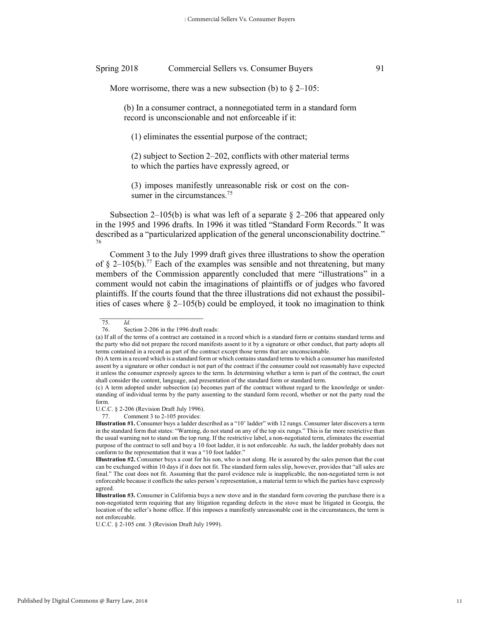More worrisome, there was a new subsection (b) to  $\S$  2–105:

(b) In a consumer contract, a nonnegotiated term in a standard form record is unconscionable and not enforceable if it:

(1) eliminates the essential purpose of the contract;

(2) subject to Section 2–202, conflicts with other material terms to which the parties have expressly agreed, or

(3) imposes manifestly unreasonable risk or cost on the consumer in the circumstances.<sup>75</sup>

Subsection 2–105(b) is what was left of a separate  $\S$  2–206 that appeared only in the 1995 and 1996 drafts. In 1996 it was titled "Standard Form Records." It was described as a "particularized application of the general unconscionability doctrine." 76

Comment 3 to the July 1999 draft gives three illustrations to show the operation of  $\delta$  2–105(b).<sup>77</sup> Each of the examples was sensible and not threatening, but many members of the Commission apparently concluded that mere "illustrations" in a comment would not cabin the imaginations of plaintiffs or of judges who favored plaintiffs. If the courts found that the three illustrations did not exhaust the possibilities of cases where § 2–105(b) could be employed, it took no imagination to think

<sup>75.</sup> *Id.* Section  $2-206$  in the 1996 draft reads:

<sup>(</sup>a) If all of the terms of a contract are contained in a record which is a standard form or contains standard terms and the party who did not prepare the record manifests assent to it by a signature or other conduct, that party adopts all terms contained in a record as part of the contract except those terms that are unconscionable.

<sup>(</sup>b) A term in a record which is a standard form or which contains standard terms to which a consumer has manifested assent by a signature or other conduct is not part of the contract if the consumer could not reasonably have expected it unless the consumer expressly agrees to the term. In determining whether a term is part of the contract, the court shall consider the content, language, and presentation of the standard form or standard term.

<sup>(</sup>c) A term adopted under subsection (a) becomes part of the contract without regard to the knowledge or understanding of individual terms by the party assenting to the standard form record, whether or not the party read the form.

U.C.C. § 2-206 (Revision Draft July 1996).

<sup>77.</sup> Comment 3 to 2-105 provides:

**Illustration #1.** Consumer buys a ladder described as a "10' ladder" with 12 rungs. Consumer later discovers a term in the standard form that states: "Warning, do not stand on any of the top six rungs." This is far more restrictive than the usual warning not to stand on the top rung. If the restrictive label, a non-negotiated term, eliminates the essential purpose of the contract to sell and buy a 10 foot ladder, it is not enforceable. As such, the ladder probably does not conform to the representation that it was a "10 foot ladder."

**Illustration #2.** Consumer buys a coat for his son, who is not along. He is assured by the sales person that the coat can be exchanged within 10 days if it does not fit. The standard form sales slip, however, provides that "all sales are final." The coat does not fit. Assuming that the parol evidence rule is inapplicable, the non-negotiated term is not enforceable because it conflicts the sales person's representation, a material term to which the parties have expressly agreed.

**Illustration #3.** Consumer in California buys a new stove and in the standard form covering the purchase there is a non-negotiated term requiring that any litigation regarding defects in the stove must be litigated in Georgia, the location of the seller's home office. If this imposes a manifestly unreasonable cost in the circumstances, the term is not enforceable.

U.C.C. § 2-105 cmt. 3 (Revision Draft July 1999).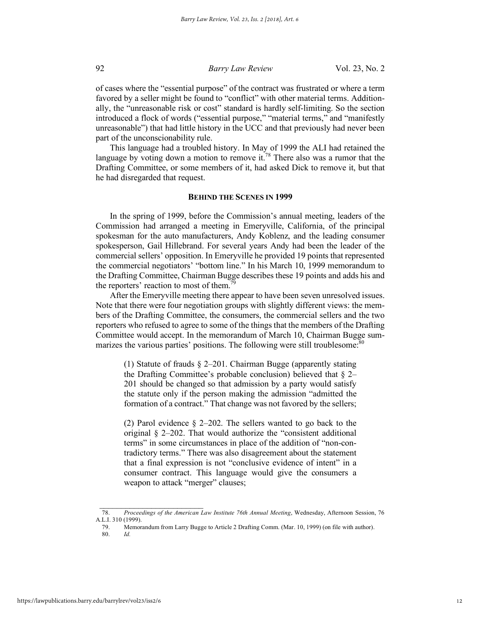of cases where the "essential purpose" of the contract was frustrated or where a term favored by a seller might be found to "conflict" with other material terms. Additionally, the "unreasonable risk or cost" standard is hardly self-limiting. So the section introduced a flock of words ("essential purpose," "material terms," and "manifestly unreasonable") that had little history in the UCC and that previously had never been part of the unconscionability rule.

This language had a troubled history. In May of 1999 the ALI had retained the language by voting down a motion to remove it.<sup>78</sup> There also was a rumor that the Drafting Committee, or some members of it, had asked Dick to remove it, but that he had disregarded that request.

#### **BEHIND THE SCENES IN 1999**

In the spring of 1999, before the Commission's annual meeting, leaders of the Commission had arranged a meeting in Emeryville, California, of the principal spokesman for the auto manufacturers, Andy Koblenz, and the leading consumer spokesperson, Gail Hillebrand. For several years Andy had been the leader of the commercial sellers' opposition. In Emeryville he provided 19 points that represented the commercial negotiators' "bottom line." In his March 10, 1999 memorandum to the Drafting Committee, Chairman Bugge describes these 19 points and adds his and the reporters' reaction to most of them.<sup>79</sup>

After the Emeryville meeting there appear to have been seven unresolved issues. Note that there were four negotiation groups with slightly different views: the members of the Drafting Committee, the consumers, the commercial sellers and the two reporters who refused to agree to some of the things that the members of the Drafting Committee would accept. In the memorandum of March 10, Chairman Bugge summarizes the various parties' positions. The following were still troublesome.<sup>80</sup>

(1) Statute of frauds § 2–201. Chairman Bugge (apparently stating the Drafting Committee's probable conclusion) believed that  $\S 2-$ 201 should be changed so that admission by a party would satisfy the statute only if the person making the admission "admitted the formation of a contract." That change was not favored by the sellers;

(2) Parol evidence § 2–202. The sellers wanted to go back to the original § 2–202. That would authorize the "consistent additional terms" in some circumstances in place of the addition of "non-contradictory terms." There was also disagreement about the statement that a final expression is not "conclusive evidence of intent" in a consumer contract. This language would give the consumers a weapon to attack "merger" clauses;

<sup>78.</sup> *Proceedings of the American Law Institute 76th Annual Meeting*, Wednesday, Afternoon Session, 76 A.L.I. 310 (1999).

<sup>79.</sup> Memorandum from Larry Bugge to Article 2 Drafting Comm. (Mar. 10, 1999) (on file with author).

<sup>80.</sup> *Id.*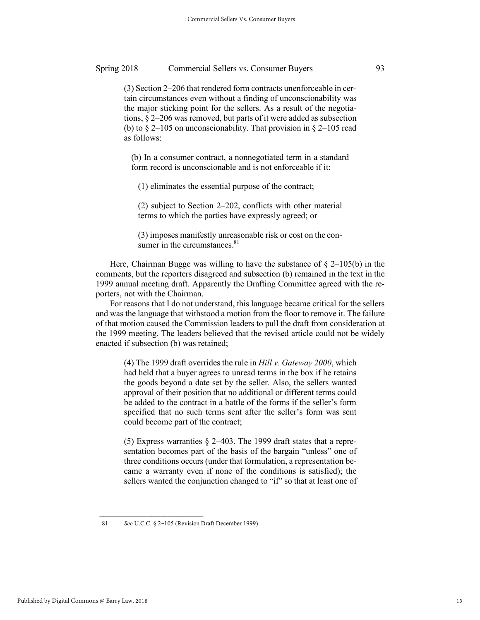(3) Section 2–206 that rendered form contracts unenforceable in certain circumstances even without a finding of unconscionability was the major sticking point for the sellers. As a result of the negotiations, § 2–206 was removed, but parts of it were added as subsection (b) to  $\S 2-105$  on unconscionability. That provision in  $\S 2-105$  read as follows:

(b) In a consumer contract, a nonnegotiated term in a standard form record is unconscionable and is not enforceable if it:

(1) eliminates the essential purpose of the contract;

(2) subject to Section 2–202, conflicts with other material terms to which the parties have expressly agreed; or

(3) imposes manifestly unreasonable risk or cost on the consumer in the circumstances. $81$ 

Here, Chairman Bugge was willing to have the substance of  $\S$  2–105(b) in the comments, but the reporters disagreed and subsection (b) remained in the text in the 1999 annual meeting draft. Apparently the Drafting Committee agreed with the reporters, not with the Chairman.

For reasons that I do not understand, this language became critical for the sellers and was the language that withstood a motion from the floor to remove it. The failure of that motion caused the Commission leaders to pull the draft from consideration at the 1999 meeting. The leaders believed that the revised article could not be widely enacted if subsection (b) was retained;

(4) The 1999 draft overrides the rule in *Hill v. Gateway 2000*, which had held that a buyer agrees to unread terms in the box if he retains the goods beyond a date set by the seller. Also, the sellers wanted approval of their position that no additional or different terms could be added to the contract in a battle of the forms if the seller's form specified that no such terms sent after the seller's form was sent could become part of the contract;

(5) Express warranties  $\S$  2–403. The 1999 draft states that a representation becomes part of the basis of the bargain "unless" one of three conditions occurs (under that formulation, a representation became a warranty even if none of the conditions is satisfied); the sellers wanted the conjunction changed to "if" so that at least one of

<sup>81.</sup> *See* U.C.C. § 2-105 (Revision Draft December 1999).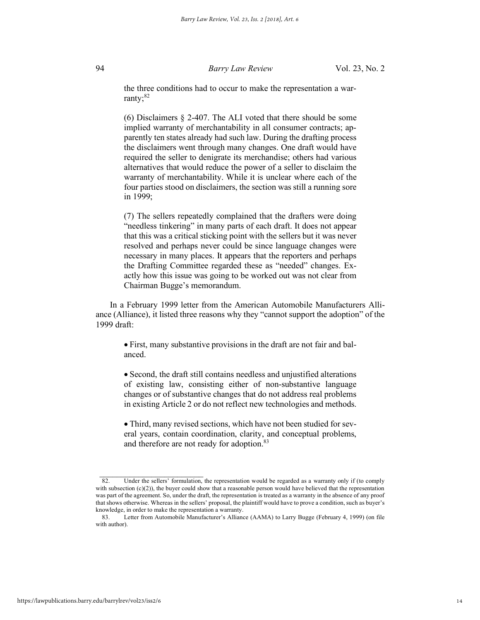the three conditions had to occur to make the representation a warranty; $82$ 

(6) Disclaimers § 2-407. The ALI voted that there should be some implied warranty of merchantability in all consumer contracts; apparently ten states already had such law. During the drafting process the disclaimers went through many changes. One draft would have required the seller to denigrate its merchandise; others had various alternatives that would reduce the power of a seller to disclaim the warranty of merchantability. While it is unclear where each of the four parties stood on disclaimers, the section was still a running sore in 1999;

(7) The sellers repeatedly complained that the drafters were doing "needless tinkering" in many parts of each draft. It does not appear that this was a critical sticking point with the sellers but it was never resolved and perhaps never could be since language changes were necessary in many places. It appears that the reporters and perhaps the Drafting Committee regarded these as "needed" changes. Exactly how this issue was going to be worked out was not clear from Chairman Bugge's memorandum.

In a February 1999 letter from the American Automobile Manufacturers Alliance (Alliance), it listed three reasons why they "cannot support the adoption" of the 1999 draft:

• First, many substantive provisions in the draft are not fair and balanced.

• Second, the draft still contains needless and unjustified alterations of existing law, consisting either of non-substantive language changes or of substantive changes that do not address real problems in existing Article 2 or do not reflect new technologies and methods.

• Third, many revised sections, which have not been studied for several years, contain coordination, clarity, and conceptual problems, and therefore are not ready for adoption.<sup>83</sup>

<sup>82.</sup> Under the sellers' formulation, the representation would be regarded as a warranty only if (to comply with subsection  $(c)(2)$ ), the buyer could show that a reasonable person would have believed that the representation was part of the agreement. So, under the draft, the representation is treated as a warranty in the absence of any proof that shows otherwise. Whereas in the sellers' proposal, the plaintiff would have to prove a condition, such as buyer's

knowledge, in order to make the representation a warranty. Letter from Automobile Manufacturer's Alliance (AAMA) to Larry Bugge (February 4, 1999) (on file with author).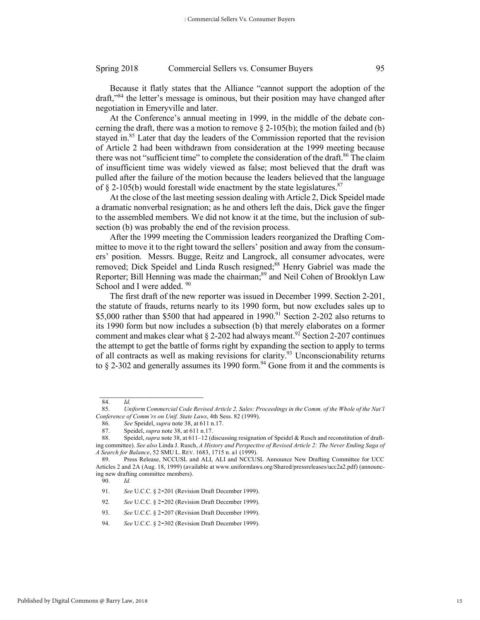Because it flatly states that the Alliance "cannot support the adoption of the draft,"<sup>84</sup> the letter's message is ominous, but their position may have changed after negotiation in Emeryville and later.

At the Conference's annual meeting in 1999, in the middle of the debate concerning the draft, there was a motion to remove  $\S$  2-105(b); the motion failed and (b) stayed in.<sup>85</sup> Later that day the leaders of the Commission reported that the revision of Article 2 had been withdrawn from consideration at the 1999 meeting because there was not "sufficient time" to complete the consideration of the draft.<sup>86</sup> The claim of insufficient time was widely viewed as false; most believed that the draft was pulled after the failure of the motion because the leaders believed that the language of  $\S$  2-105(b) would forestall wide enactment by the state legislatures.<sup>87</sup>

At the close of the last meeting session dealing with Article 2, Dick Speidel made a dramatic nonverbal resignation; as he and others left the dais, Dick gave the finger to the assembled members. We did not know it at the time, but the inclusion of subsection (b) was probably the end of the revision process.

After the 1999 meeting the Commission leaders reorganized the Drafting Committee to move it to the right toward the sellers' position and away from the consumers' position. Messrs. Bugge, Reitz and Langrock, all consumer advocates, were removed; Dick Speidel and Linda Rusch resigned;<sup>88</sup> Henry Gabriel was made the Reporter; Bill Henning was made the chairman;<sup>89</sup> and Neil Cohen of Brooklyn Law School and I were added. <sup>90</sup>

The first draft of the new reporter was issued in December 1999. Section 2-201, the statute of frauds, returns nearly to its 1990 form, but now excludes sales up to \$5,000 rather than \$500 that had appeared in 1990.<sup>91</sup> Section 2-202 also returns to its 1990 form but now includes a subsection (b) that merely elaborates on a former comment and makes clear what  $\S$  2-202 had always meant.<sup>92</sup> Section 2-207 continues the attempt to get the battle of forms right by expanding the section to apply to terms of all contracts as well as making revisions for clarity.<sup>93</sup> Unconscionability returns to  $\S$  2-302 and generally assumes its 1990 form.<sup>94</sup> Gone from it and the comments is

 $\mathcal{L}_\text{max}$ 

90. *Id.*

- <sup>92</sup>*. See* U.C.C. § 2-202 (Revision Draft December 1999).
- 93. *See* U.C.C. § 2-207 (Revision Draft December 1999).

<sup>84.</sup> *Id.*

<sup>85.</sup> *Uniform Commercial Code Revised Article 2, Sales: Proceedings in the Comm. of the Whole of the Nat'l Conference of Comm'rs on Unif. State Laws*, 4th Sess. 82 (1999).

<sup>86.</sup> *See* Speidel, *supra* note 38, at 611 n.17.

<sup>87.</sup> Speidel, *supra* note 38, at 611 n.17.

<sup>88.</sup> Speidel, *supra* note 38, at 611–12 (discussing resignation of Speidel & Rusch and reconstitution of drafting committee). *See also* Linda J. Rusch, *A History and Perspective of Revised Article 2: The Never Ending Saga of A Search for Balance*, 52 SMU L. REV. 1683, 1715 n. a1 (1999).

<sup>89.</sup> Press Release, NCCUSL and ALI, ALI and NCCUSL Announce New Drafting Committee for UCC Articles 2 and 2A (Aug. 18, 1999) (available at www.uniformlaws.org/Shared/pressreleases/ucc2a2.pdf) (announcing new drafting committee members).

<sup>91.</sup> *See* U.C.C. § 2-201 (Revision Draft December 1999).

<sup>94.</sup> *See* U.C.C. § 2-302 (Revision Draft December 1999).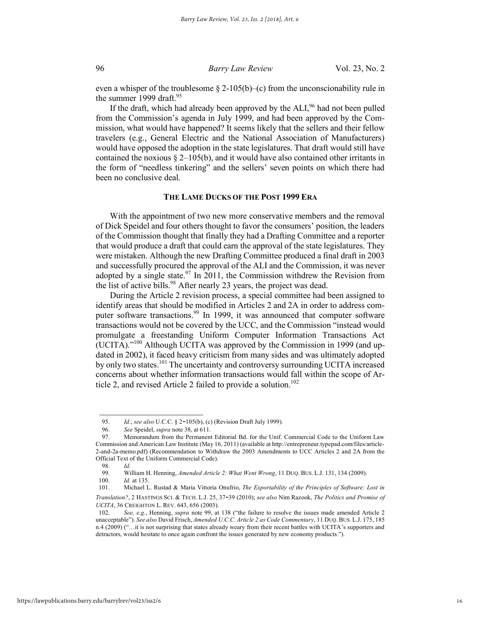even a whisper of the troublesome  $\S 2\n-105(b)-(c)$  from the unconscionability rule in the summer 1999 draft. $95$ 

If the draft, which had already been approved by the  $ALL<sup>96</sup>$  had not been pulled from the Commission's agenda in July 1999, and had been approved by the Commission, what would have happened? It seems likely that the sellers and their fellow travelers (e.g., General Electric and the National Association of Manufacturers) would have opposed the adoption in the state legislatures. That draft would still have contained the noxious  $\S 2-105(b)$ , and it would have also contained other irritants in the form of "needless tinkering" and the sellers' seven points on which there had been no conclusive deal.

#### **THE LAME DUCKS OF THE POST 1999 ERA**

With the appointment of two new more conservative members and the removal of Dick Speidel and four others thought to favor the consumers' position, the leaders of the Commission thought that finally they had a Drafting Committee and a reporter that would produce a draft that could earn the approval of the state legislatures. They were mistaken. Although the new Drafting Committee produced a final draft in 2003 and successfully procured the approval of the ALI and the Commission, it was never adopted by a single state.<sup>97</sup> In  $2011$ , the Commission withdrew the Revision from the list of active bills.<sup>98</sup> After nearly 23 years, the project was dead.

During the Article 2 revision process, a special committee had been assigned to identify areas that should be modified in Articles 2 and 2A in order to address computer software transactions.<sup>99</sup> In 1999, it was announced that computer software transactions would not be covered by the UCC, and the Commission "instead would promulgate a freestanding Uniform Computer Information Transactions Act (UCITA)."100 Although UCITA was approved by the Commission in 1999 (and updated in 2002), it faced heavy criticism from many sides and was ultimately adopted by only two states.<sup>101</sup> The uncertainty and controversy surrounding UCITA increased concerns about whether information transactions would fall within the scope of Article 2, and revised Article 2 failed to provide a solution.<sup>102</sup>

 $\frac{1}{2}$  ,  $\frac{1}{2}$  ,  $\frac{1}{2}$  ,  $\frac{1}{2}$  ,  $\frac{1}{2}$  ,  $\frac{1}{2}$  ,  $\frac{1}{2}$  ,  $\frac{1}{2}$  ,  $\frac{1}{2}$  ,  $\frac{1}{2}$  ,  $\frac{1}{2}$  ,  $\frac{1}{2}$  ,  $\frac{1}{2}$  ,  $\frac{1}{2}$  ,  $\frac{1}{2}$  ,  $\frac{1}{2}$  ,  $\frac{1}{2}$  ,  $\frac{1}{2}$  ,  $\frac{1$ 

<sup>95.</sup> *Id.*; *see also* U.C.C. § 2-105(b), (c) (Revision Draft July 1999).

<sup>96.</sup> *See* Speidel, *supra* note 38, at 611.

<sup>97.</sup> Memorandum from the Permanent Editorial Bd. for the Unif. Commercial Code to the Uniform Law Commission and American Law Institute (May 16, 2011) (available at http://entrepreneur.typepad.com/files/article-2-and-2a-memo.pdf) (Recommendation to Withdraw the 2003 Amendments to UCC Articles 2 and 2A from the Official Text of the Uniform Commercial Code).

<sup>98.</sup> *Id.*

<sup>99.</sup> William H. Henning, *Amended Article 2: What Went Wrong*, 11 DUQ. BUS. L.J. 131, 134 (2009).

<sup>100.</sup> *Id.* at 135.

<sup>101.</sup> Michael L. Rustad & Maria Vittoria Onufrio, *The Exportability of the Principles of Software: Lost in Translation?*, 2 HASTINGS SCI. & TECH. L.J. 25, 37-39 (2010); *see also* Nim Razook, *The Politics and Promise of UCITA*, 36 CREIGHTON L. REV. 643, 656 (2003).

<sup>102.</sup> *See, e.g.*, Henning, *supra* note 99, at 138 ("the failure to resolve the issues made amended Article 2 unacceptable"). *See also* David Frisch, *Amended U.C.C. Article 2 as Code Commentary*, 11 DUQ. BUS. L.J. 175, 185 n.4 (2009) ("…it is not surprising that states already weary from their recent battles with UCITA's supporters and detractors, would hesitate to once again confront the issues generated by new economy products.").